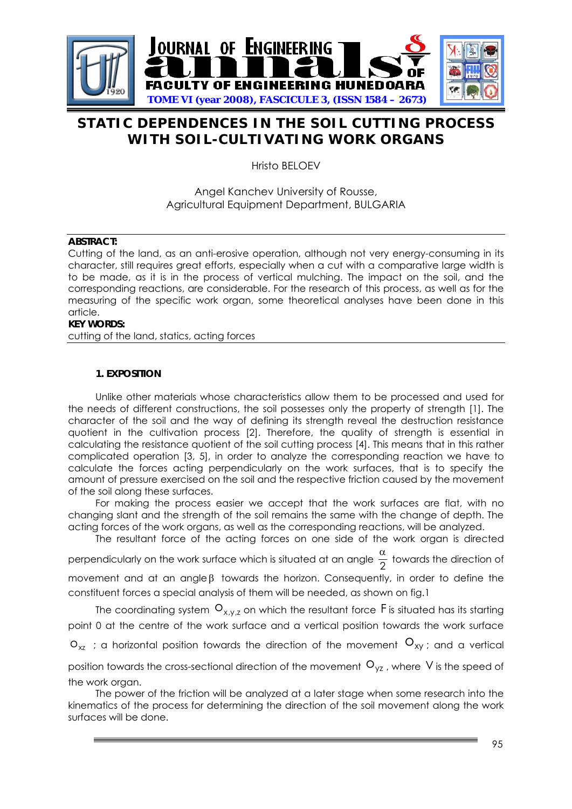

# **STATIC DEPENDENCES IN THE SOIL CUTTING PROCESS WITH SOIL-CULTIVATING WORK ORGANS**

Hristo BELOEV

## Angel Kanchev University of Rousse, Agricultural Equipment Department, BULGARIA

#### **ABSTRACT:**

Cutting of the land, as an anti-erosive operation, although not very energy-consuming in its character, still requires great efforts, especially when a cut with a comparative large width is to be made, as it is in the process of vertical mulching. The impact on the soil, and the corresponding reactions, are considerable. For the research of this process, as well as for the measuring of the specific work organ, some theoretical analyses have been done in this article.

## **KEY WORDS:**

cutting of the land, statics, acting forces

## **1. EXPOSITION**

Unlike other materials whose characteristics allow them to be processed and used for the needs of different constructions, the soil possesses only the property of strength [1]. The character of the soil and the way of defining its strength reveal the destruction resistance quotient in the cultivation process [2]. Therefore, the quality of strength is essential in calculating the resistance quotient of the soil cutting process [4]. This means that in this rather complicated operation [3, 5], in order to analyze the corresponding reaction we have to calculate the forces acting perpendicularly on the work surfaces, that is to specify the amount of pressure exercised on the soil and the respective friction caused by the movement of the soil along these surfaces.

For making the process easier we accept that the work surfaces are flat, with no changing slant and the strength of the soil remains the same with the change of depth. The acting forces of the work organs, as well as the corresponding reactions, will be analyzed.

The resultant force of the acting forces on one side of the work organ is directed

perpendicularly on the work surface which is situated at an angle  $\frac{\alpha}{2}$  towards the direction of

movement and at an angle  $\beta$  towards the horizon. Consequently, in order to define the constituent forces a special analysis of them will be needed, as shown on fig.1

The coordinating system  $\mathsf{O}_{\mathsf{x},\mathsf{y},\mathsf{z}}$  on which the resultant force  $\mathsf F$  is situated has its starting point 0 at the centre of the work surface and a vertical position towards the work surface

 $\mathsf{o}_{\mathsf{x}\mathsf{z}}\,$  ; a horizontal position towards the direction of the movement  $\mathsf{o}_{\mathsf{x}\mathsf{y}}$  ; and a vertical

position towards the cross-sectional direction of the movement  $\mathtt{O}_{\mathsf{yz}}$  , where  $\mathtt{V}$  is the speed of the work organ.

The power of the friction will be analyzed at a later stage when some research into the kinematics of the process for determining the direction of the soil movement along the work surfaces will be done.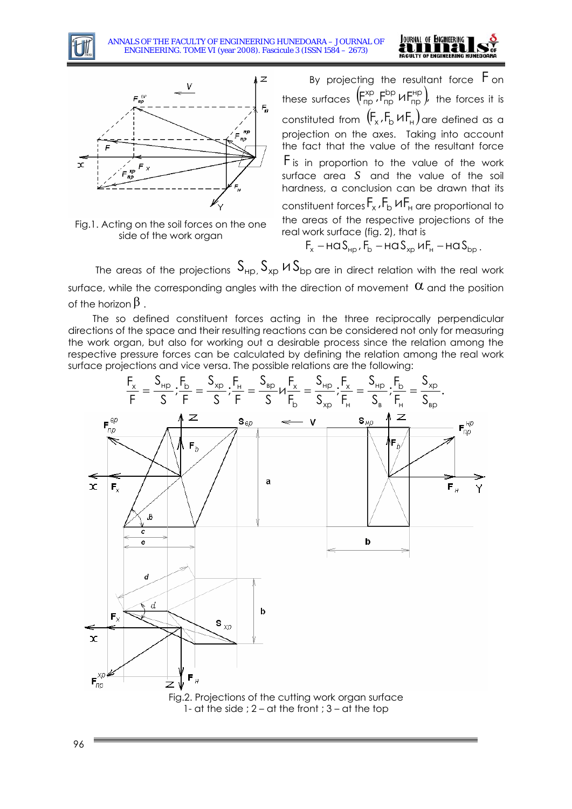







By projecting the resultant force  $F$  on these surfaces  $(F_{np}^{xp}, F_{np}^{bp} \vee F_{np}^{hp})$ , bp пр  $\mathsf{F}_{\mathsf{np}}^{\mathsf{xp}}$   $\mathsf{HF}_{\mathsf{np}}^{\mathsf{hp}}$  the forces it is constituted from  $(F_x, F_b \vee F_H)$  are defined as a projection on the axes. Taking into account the fact that the value of the resultant force  $F$  is in proportion to the value of the work surface area  $S$  and the value of the soil hardness, a conclusion can be drawn that its constituent forces  $F_x$  ,  $F_b$  И $F_\text{\tiny H}$  are proportional to the areas of the respective projections of the real work surface (fig. 2), that is

 $F_x$  – на S<sub>HD</sub>,  $F_b$  – на S<sub>xp</sub> и $F_H$  – на S<sub>bp</sub>.

The areas of the projections  $\, \mathsf{S}_{\mathsf{H} \mathsf{p},\,} \mathsf{S}_{\mathsf{x} \mathsf{p}} \,$  H  $\mathsf{S}_{\mathsf{b} \mathsf{p}}$  are in direct relation with the real work surface, while the corresponding angles with the direction of movement  $\,\alpha$  and the position of the horizon  $\beta$  .

The so defined constituent forces acting in the three reciprocally perpendicular directions of the space and their resulting reactions can be considered not only for measuring the work organ, but also for working out a desirable process since the relation among the respective pressure forces can be calculated by defining the relation among the real work surface projections and vice versa. The possible relations are the following:

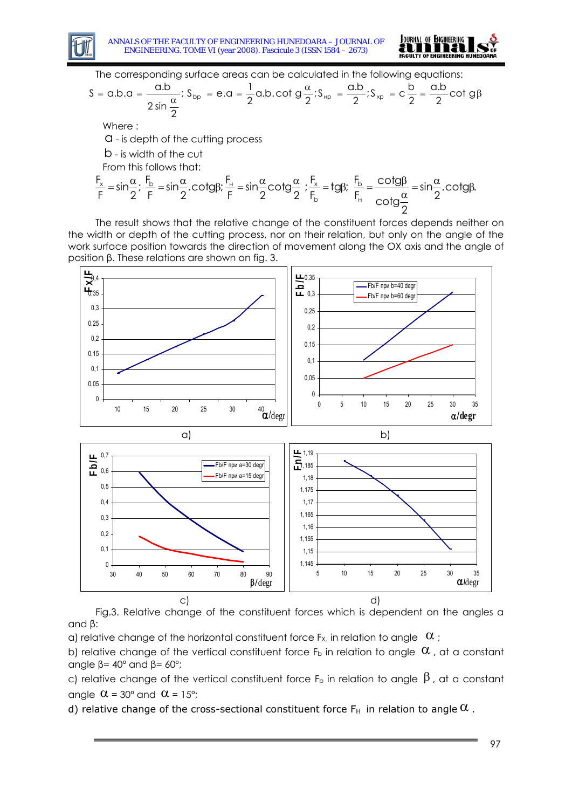



The corresponding surface areas can be calculated in the following equations:

$$
S = a.b.\alpha = \frac{a.b}{2 \sin \frac{\alpha}{2}}; S_{bp} = e.\alpha = \frac{1}{2}a.b.\cot g \frac{\alpha}{2}; S_{bp} = \frac{a.b}{2}; S_{xp} = c\frac{b}{2} = \frac{a.b}{2} \cot g\beta
$$

Where :

a - is depth of the cutting process

b - is width of the cut

From this follows that:

$$
\frac{F_x}{F} = \sin\frac{\alpha}{2}; \frac{F_b}{F} = \sin\frac{\alpha}{2}.\text{cotg}\beta; \frac{F_H}{F} = \sin\frac{\alpha}{2}\text{cotg}\frac{\alpha}{2}; \frac{F_x}{F_b} = t\text{g}\beta; \frac{F_b}{F_H} = \frac{\text{cotg}\beta}{\text{cotg}\frac{\alpha}{2}} = \sin\frac{\alpha}{2}.\text{cotg}\beta.
$$

The result shows that the relative change of the constituent forces depends neither on the width or depth of the cutting process, nor on their relation, but only on the angle of the work surface position towards the direction of movement along the OX axis and the angle of position β. These relations are shown on fig. 3.



Fig.3. Relative change of the constituent forces which is dependent on the angles α and β:

a) relative change of the horizontal constituent force F<sub>x</sub>, in relation to angle  $\alpha$ ;

b) relative change of the vertical constituent force  $F_b$  in relation to angle  $\alpha$ , at a constant angle  $β = 40°$  and  $β = 60°$ ;

c) relative change of the vertical constituent force  $F_b$  in relation to angle  $\beta$ , at a constant angle  $\alpha$  = 30° and  $\alpha$  = 15°;

d) relative change of the cross-sectional constituent force  $F_H$  in relation to angle  $\alpha$ .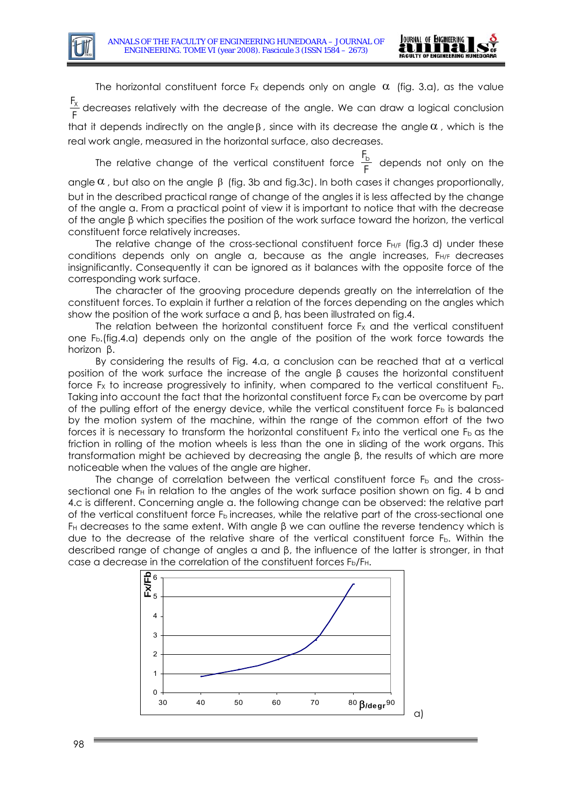

The horizontal constituent force  $F_X$  depends only on angle  $\alpha$  (fig. 3.a), as the value  $\frac{\mathsf{F}_{\mathsf{X}}}{\mathsf{F}}$  decreases relatively with the decrease of the angle. We can draw a logical conclusion that it depends indirectly on the angle  $\beta$ , since with its decrease the angle  $\alpha$ , which is the real work angle, measured in the horizontal surface, also decreases.

The relative change of the vertical constituent force  $\frac{F_b}{F}$  depends not only on the angle  $\alpha$  , but also on the angle  $\beta$  (fig. 3b and fig.3c). In both cases it changes proportionally, but in the described practical range of change of the angles it is less affected by the change of the angle α. From a practical point of view it is important to notice that with the decrease of the angle β which specifies the position of the work surface toward the horizon, the vertical constituent force relatively increases.

The relative change of the cross-sectional constituent force  $F<sub>H/F</sub>$  (fig.3 d) under these conditions depends only on angle α, because as the angle increases, FH/F decreases insignificantly. Consequently it can be ignored as it balances with the opposite force of the corresponding work surface.

The character of the grooving procedure depends greatly on the interrelation of the constituent forces. To explain it further a relation of the forces depending on the angles which show the position of the work surface a and  $\beta$ , has been illustrated on fig.4.

The relation between the horizontal constituent force  $Fx$  and the vertical constituent one Fb.(fig.4.а) depends only on the angle of the position of the work force towards the horizon β.

By considering the results of Fig. 4.а, a conclusion can be reached that at a vertical position of the work surface the increase of the angle β causes the horizontal constituent force F<sub>x</sub> to increase progressively to infinity, when compared to the vertical constituent F<sub>b</sub>. Taking into account the fact that the horizontal constituent force  $F_X$  can be overcome by part of the pulling effort of the energy device, while the vertical constituent force  $F<sub>b</sub>$  is balanced by the motion system of the machine, within the range of the common effort of the two forces it is necessary to transform the horizontal constituent  $F_X$  into the vertical one  $F_B$  as the friction in rolling of the motion wheels is less than the one in sliding of the work organs. This transformation might be achieved by decreasing the angle β, the results of which are more noticeable when the values of the angle are higher.

The change of correlation between the vertical constituent force  $F<sub>b</sub>$  and the crosssectional one F<sub>H</sub> in relation to the angles of the work surface position shown on fig. 4 b and 4.c is different. Concerning angle α. the following change can be observed: the relative part of the vertical constituent force  $F_b$  increases, while the relative part of the cross-sectional one F<sub>H</sub> decreases to the same extent. With angle  $\beta$  we can outline the reverse tendency which is due to the decrease of the relative share of the vertical constituent force  $F_b$ . Within the described range of change of angles α and β, the influence of the latter is stronger, in that case a decrease in the correlation of the constituent forces F<sub>b</sub>/F<sub>H</sub>.